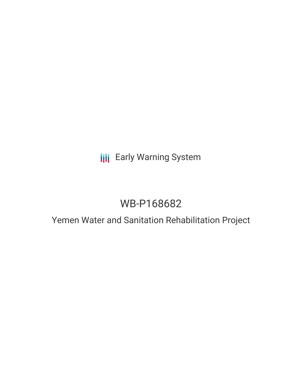## **III** Early Warning System

# WB-P168682

## Yemen Water and Sanitation Rehabilitation Project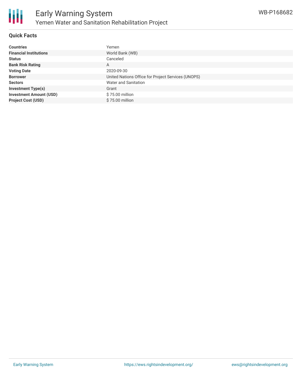

#### **Quick Facts**

| <b>Countries</b>               | Yemen                                              |
|--------------------------------|----------------------------------------------------|
| <b>Financial Institutions</b>  | World Bank (WB)                                    |
| <b>Status</b>                  | Canceled                                           |
| <b>Bank Risk Rating</b>        | A                                                  |
| <b>Voting Date</b>             | 2020-09-30                                         |
| <b>Borrower</b>                | United Nations Office for Project Services (UNOPS) |
| <b>Sectors</b>                 | Water and Sanitation                               |
| <b>Investment Type(s)</b>      | Grant                                              |
| <b>Investment Amount (USD)</b> | \$75.00 million                                    |
| <b>Project Cost (USD)</b>      | \$75,00 million                                    |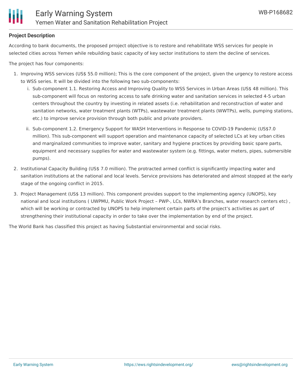

#### **Project Description**

According to bank documents, the proposed prroject objective is to restore and rehabilitate WSS services for people in selected cities across Yemen while rebuilding basic capacity of key sector institutions to stem the decline of services.

The project has four components:

- 1. Improving WSS services (US\$ 55.0 million); This is the core component of the project, given the urgency to restore access to WSS series. It will be divided into the following two sub-components:
	- i. Sub-component 1.1. Restoring Access and Improving Quality to WSS Services in Urban Areas (US\$ 48 million). This sub-component will focus on restoring access to safe drinking water and sanitation services in selected 4-5 urban centers throughout the country by investing in related assets (i.e. rehabilitation and reconstruction of water and sanitation networks, water treatment plants (WTPs), wastewater treatment plants (WWTPs), wells, pumping stations, etc.) to improve service provision through both public and private providers.
	- ii. Sub-component 1.2. Emergency Support for WASH Interventions in Response to COVID-19 Pandemic (US\$7.0 million). This sub-component will support operation and maintenance capacity of selected LCs at key urban cities and marginalized communities to improve water, sanitary and hygiene practices by providing basic spare parts, equipment and necessary supplies for water and wastewater system (e.g. fittings, water meters, pipes, submersible pumps).
- 2. Institutional Capacity Building (US\$ 7.0 million). The protracted armed conflict is significantly impacting water and sanitation institutions at the national and local levels. Service provisions has deteriorated and almost stopped at the early stage of the ongoing conflict in 2015.
- 3. Project Management (US\$ 13 million). This component provides support to the implementing agency (UNOPS), key national and local institutions ( UWPMU, Public Work Project – PWP-, LCs, NWRA's Branches, water research centers etc) , which will be working or contracted by UNOPS to help implement certain parts of the project's activities as part of strengthening their institutional capacity in order to take over the implementation by end of the project.

The World Bank has classified this project as having Substantial environmental and social risks.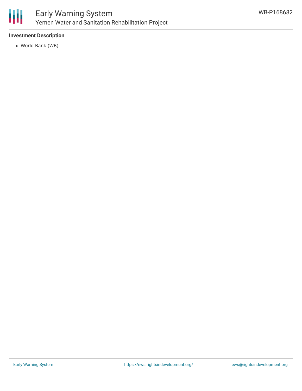

### Early Warning System Yemen Water and Sanitation Rehabilitation Project

#### **Investment Description**

World Bank (WB)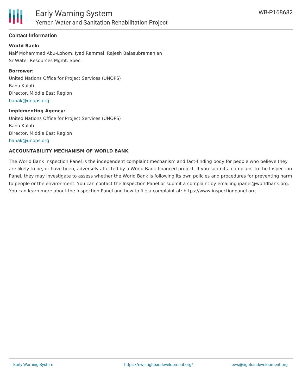

#### **Contact Information**

#### **World Bank:**

Naif Mohammed Abu-Lohom, Iyad Rammal, Rajesh Balasubramanian Sr Water Resources Mgmt. Spec.

#### **Borrower:**

United Nations Office for Project Services (UNOPS) Bana Kaloti Director, Middle East Region [banak@unops.org](mailto:banak@unops.org)

#### **Implementing Agency:**

United Nations Office for Project Services (UNOPS) Bana Kaloti Director, Middle East Region [banak@unops.org](mailto:banak@unops.org)

#### **ACCOUNTABILITY MECHANISM OF WORLD BANK**

The World Bank Inspection Panel is the independent complaint mechanism and fact-finding body for people who believe they are likely to be, or have been, adversely affected by a World Bank-financed project. If you submit a complaint to the Inspection Panel, they may investigate to assess whether the World Bank is following its own policies and procedures for preventing harm to people or the environment. You can contact the Inspection Panel or submit a complaint by emailing ipanel@worldbank.org. You can learn more about the Inspection Panel and how to file a complaint at: https://www.inspectionpanel.org.